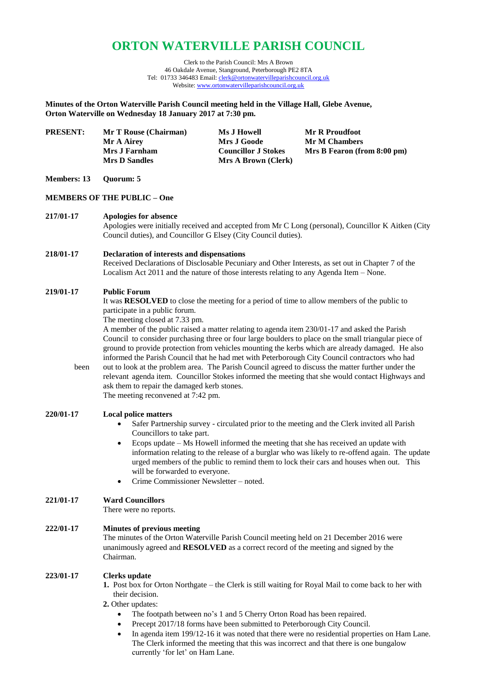# **ORTON WATERVILLE PARISH COUNCIL**

Clerk to the Parish Council: Mrs A Brown 46 Oakdale Avenue, Stanground, Peterborough PE2 8TA Tel: 01733 346483 Email[: clerk@ortonwatervilleparishcouncil.org.uk](mailto:clerk@ortonwatervilleparishcouncil.org.uk) Website: [www.ortonwatervilleparishcouncil.org.uk](http://www.ortonwatervilleparishcouncil.org.uk/)

**Minutes of the Orton Waterville Parish Council meeting held in the Village Hall, Glebe Avenue, Orton Waterville on Wednesday 18 January 2017 at 7:30 pm.**

**PRESENT: Mr T Rouse (Chairman) Ms J Howell Mr R Proudfoot Mr A Airey Mrs J Goode Mr M Chambers Mrs D Sandles Mrs A Brown (Clerk)**

**Mrs J Farnham Councillor J Stokes Mrs B Fearon (from 8:00 pm)**

#### **Members: 13 Quorum: 5**

#### **MEMBERS OF THE PUBLIC – One**

#### **217/01-17 Apologies for absence**

Apologies were initially received and accepted from Mr C Long (personal), Councillor K Aitken (City Council duties), and Councillor G Elsey (City Council duties).

# **218/01-17 Declaration of interests and dispensations**

Received Declarations of Disclosable Pecuniary and Other Interests, as set out in Chapter 7 of the Localism Act 2011 and the nature of those interests relating to any Agenda Item – None.

#### **219/01-17 Public Forum**

It was **RESOLVED** to close the meeting for a period of time to allow members of the public to participate in a public forum.

The meeting closed at 7.33 pm.

A member of the public raised a matter relating to agenda item 230/01-17 and asked the Parish Council to consider purchasing three or four large boulders to place on the small triangular piece of ground to provide protection from vehicles mounting the kerbs which are already damaged. He also informed the Parish Council that he had met with Peterborough City Council contractors who had been out to look at the problem area. The Parish Council agreed to discuss the matter further under the relevant agenda item. Councillor Stokes informed the meeting that she would contact Highways and ask them to repair the damaged kerb stones.

The meeting reconvened at 7:42 pm.

# **220/01-17 Local police matters**

- Safer Partnership survey circulated prior to the meeting and the Clerk invited all Parish Councillors to take part.
- Ecops update Ms Howell informed the meeting that she has received an update with information relating to the release of a burglar who was likely to re-offend again. The update urged members of the public to remind them to lock their cars and houses when out. This will be forwarded to everyone.
- Crime Commissioner Newsletter noted.

# **221/01-17 Ward Councillors**

There were no reports.

## **222/01-17 Minutes of previous meeting**

The minutes of the Orton Waterville Parish Council meeting held on 21 December 2016 were unanimously agreed and **RESOLVED** as a correct record of the meeting and signed by the Chairman.

#### **223/01-17 Clerks update**

**1.** Post box for Orton Northgate – the Clerk is still waiting for Royal Mail to come back to her with their decision.

# **2.** Other updates:

- The footpath between no's 1 and 5 Cherry Orton Road has been repaired.
- Precept 2017/18 forms have been submitted to Peterborough City Council.
- In agenda item 199/12-16 it was noted that there were no residential properties on Ham Lane. The Clerk informed the meeting that this was incorrect and that there is one bungalow currently 'for let' on Ham Lane.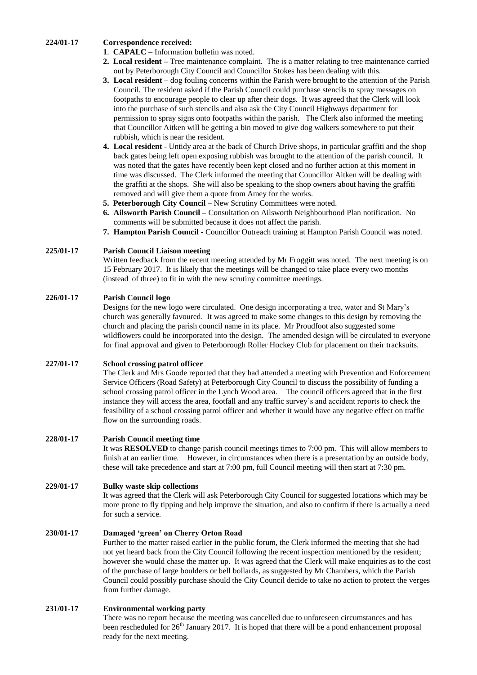# **224/01-17 Correspondence received:**

- **1**. **CAPALC –** Information bulletin was noted.
- **2. Local resident –** Tree maintenance complaint. The is a matter relating to tree maintenance carried out by Peterborough City Council and Councillor Stokes has been dealing with this.
- **3. Local resident** dog fouling concerns within the Parish were brought to the attention of the Parish Council. The resident asked if the Parish Council could purchase stencils to spray messages on footpaths to encourage people to clear up after their dogs. It was agreed that the Clerk will look into the purchase of such stencils and also ask the City Council Highways department for permission to spray signs onto footpaths within the parish. The Clerk also informed the meeting that Councillor Aitken will be getting a bin moved to give dog walkers somewhere to put their rubbish, which is near the resident.
- **4. Local resident** Untidy area at the back of Church Drive shops, in particular graffiti and the shop back gates being left open exposing rubbish was brought to the attention of the parish council. It was noted that the gates have recently been kept closed and no further action at this moment in time was discussed. The Clerk informed the meeting that Councillor Aitken will be dealing with the graffiti at the shops. She will also be speaking to the shop owners about having the graffiti removed and will give them a quote from Amey for the works.
- **5. Peterborough City Council –** New Scrutiny Committees were noted.
- **6. Ailsworth Parish Council –** Consultation on Ailsworth Neighbourhood Plan notification. No comments will be submitted because it does not affect the parish.
- **7. Hampton Parish Council -** Councillor Outreach training at Hampton Parish Council was noted.

# **225/01-17 Parish Council Liaison meeting**

Written feedback from the recent meeting attended by Mr Froggitt was noted. The next meeting is on 15 February 2017. It is likely that the meetings will be changed to take place every two months (instead of three) to fit in with the new scrutiny committee meetings.

# **226/01-17 Parish Council logo**

Designs for the new logo were circulated. One design incorporating a tree, water and St Mary's church was generally favoured. It was agreed to make some changes to this design by removing the church and placing the parish council name in its place. Mr Proudfoot also suggested some wildflowers could be incorporated into the design. The amended design will be circulated to everyone for final approval and given to Peterborough Roller Hockey Club for placement on their tracksuits.

# **227/01-17 School crossing patrol officer**

The Clerk and Mrs Goode reported that they had attended a meeting with Prevention and Enforcement Service Officers (Road Safety) at Peterborough City Council to discuss the possibility of funding a school crossing patrol officer in the Lynch Wood area. The council officers agreed that in the first instance they will access the area, footfall and any traffic survey's and accident reports to check the feasibility of a school crossing patrol officer and whether it would have any negative effect on traffic flow on the surrounding roads.

## **228/01-17 Parish Council meeting time**

It was **RESOLVED** to change parish council meetings times to 7:00 pm. This will allow members to finish at an earlier time. However, in circumstances when there is a presentation by an outside body, these will take precedence and start at 7:00 pm, full Council meeting will then start at 7:30 pm.

# **229/01-17 Bulky waste skip collections**

It was agreed that the Clerk will ask Peterborough City Council for suggested locations which may be more prone to fly tipping and help improve the situation, and also to confirm if there is actually a need for such a service.

## **230/01-17 Damaged 'green' on Cherry Orton Road**

Further to the matter raised earlier in the public forum, the Clerk informed the meeting that she had not yet heard back from the City Council following the recent inspection mentioned by the resident; however she would chase the matter up. It was agreed that the Clerk will make enquiries as to the cost of the purchase of large boulders or bell bollards, as suggested by Mr Chambers, which the Parish Council could possibly purchase should the City Council decide to take no action to protect the verges from further damage.

## **231/01-17 Environmental working party**

There was no report because the meeting was cancelled due to unforeseen circumstances and has been rescheduled for  $26<sup>th</sup>$  January 2017. It is hoped that there will be a pond enhancement proposal ready for the next meeting.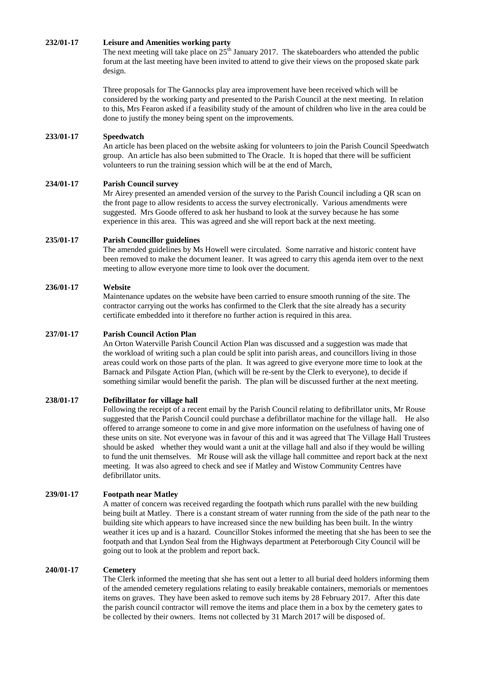## **232/01-17 Leisure and Amenities working party**

The next meeting will take place on  $25<sup>th</sup>$  January 2017. The skateboarders who attended the public forum at the last meeting have been invited to attend to give their views on the proposed skate park design.

Three proposals for The Gannocks play area improvement have been received which will be considered by the working party and presented to the Parish Council at the next meeting. In relation to this, Mrs Fearon asked if a feasibility study of the amount of children who live in the area could be done to justify the money being spent on the improvements.

#### **233/01-17 Speedwatch**

An article has been placed on the website asking for volunteers to join the Parish Council Speedwatch group. An article has also been submitted to The Oracle. It is hoped that there will be sufficient volunteers to run the training session which will be at the end of March,

#### **234/01-17 Parish Council survey**

Mr Airey presented an amended version of the survey to the Parish Council including a QR scan on the front page to allow residents to access the survey electronically. Various amendments were suggested. Mrs Goode offered to ask her husband to look at the survey because he has some experience in this area. This was agreed and she will report back at the next meeting.

#### **235/01-17 Parish Councillor guidelines**

The amended guidelines by Ms Howell were circulated. Some narrative and historic content have been removed to make the document leaner. It was agreed to carry this agenda item over to the next meeting to allow everyone more time to look over the document.

## **236/01-17 Website**

Maintenance updates on the website have been carried to ensure smooth running of the site. The contractor carrying out the works has confirmed to the Clerk that the site already has a security certificate embedded into it therefore no further action is required in this area.

#### **237/01-17 Parish Council Action Plan**

An Orton Waterville Parish Council Action Plan was discussed and a suggestion was made that the workload of writing such a plan could be split into parish areas, and councillors living in those areas could work on those parts of the plan. It was agreed to give everyone more time to look at the Barnack and Pilsgate Action Plan, (which will be re-sent by the Clerk to everyone), to decide if something similar would benefit the parish. The plan will be discussed further at the next meeting.

## **238/01-17 Defibrillator for village hall**

Following the receipt of a recent email by the Parish Council relating to defibrillator units, Mr Rouse suggested that the Parish Council could purchase a defibrillator machine for the village hall. He also offered to arrange someone to come in and give more information on the usefulness of having one of these units on site. Not everyone was in favour of this and it was agreed that The Village Hall Trustees should be asked whether they would want a unit at the village hall and also if they would be willing to fund the unit themselves. Mr Rouse will ask the village hall committee and report back at the next meeting. It was also agreed to check and see if Matley and Wistow Community Centres have defibrillator units.

#### **239/01-17 Footpath near Matley**

A matter of concern was received regarding the footpath which runs parallel with the new building being built at Matley. There is a constant stream of water running from the side of the path near to the building site which appears to have increased since the new building has been built. In the wintry weather it ices up and is a hazard. Councillor Stokes informed the meeting that she has been to see the footpath and that Lyndon Seal from the Highways department at Peterborough City Council will be going out to look at the problem and report back.

#### **240/01-17 Cemetery**

The Clerk informed the meeting that she has sent out a letter to all burial deed holders informing them of the amended cemetery regulations relating to easily breakable containers, memorials or mementoes items on graves. They have been asked to remove such items by 28 February 2017. After this date the parish council contractor will remove the items and place them in a box by the cemetery gates to be collected by their owners. Items not collected by 31 March 2017 will be disposed of.